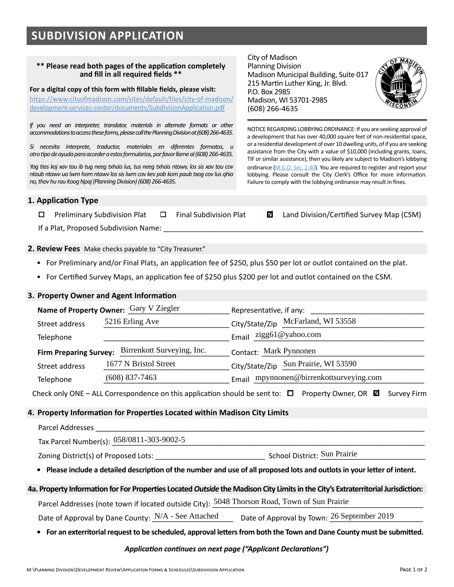# **SUBDIVISION APPLICATION**

#### **\*\* Please read both pages of the application completely and fill in all required fields \*\***

**For a digital copy of this form with fillable fields, please visit:** 

[https://www.cityofmadison.com/sites/default/files/city-of-madison/](https://www.cityofmadison.com/sites/default/files/city-of-madison/development-services-center/documents/SubdivisionApplication.pdf) [development-services-center/documents/SubdivisionApplication.pdf](https://www.cityofmadison.com/sites/default/files/city-of-madison/development-services-center/documents/SubdivisionApplication.pdf)

*If you need an interpreter, translator, materials in alternate formats or other accommodations to access these forms, please call the Planning Division at (608) 266-4635.* 

*Si necesita interprete, traductor, materiales en diferentes formatos, u otro tipo de ayuda para acceder a estos formularios, por favor llame al (608) 266-4635.*

*Yog tias koj xav tau ib tug neeg txhais lus, tus neeg txhais ntawv, los sis xav tau cov ntaub ntawv ua lwm hom ntawv los sis lwm cov kev pab kom paub txog cov lus qhia no, thov hu rau Koog Npaj (Planning Division) (608) 266-4635.*

City of Madison Planning Division Madison Municipal Building, Suite 017 215 Martin Luther King, Jr. Blvd. P.O. Box 2985 Madison, WI 53701-2985 (608) 266-4635



NOTICE REGARDING LOBBYING ORDINANCE: If you are seeking approval of a development that has over 40,000 square feet of non-residential space, or a residential development of over 10 dwelling units, of if you are seeking assistance from the City with a value of \$10,000 (including grants, loans, TIF or similar assistance), then you likely are subject to Madison's lobbying ordinance (M.G.O. [Sec. 2.40](https://library.municode.com/wi/madison/codes/code_of_ordinances?nodeId=COORMAWIVOICH1--10_CH2STRUGOCOCO_2.40LORE)). You are required to register and report your lobbying. Please consult the City Clerk's Office for more information. Failure to comply with the lobbying ordinance may result in fines.

#### **1. Application Type**

 $\Box$  Preliminary Subdivision Plat  $\Box$  Final Subdivision Plat  $\Box$  Land Division/Certified Survey Map (CSM)

If a Plat, Proposed Subdivision Name:

**2. Review Fees** Make checks payable to "City Treasurer."

- For Preliminary and/or Final Plats, an application fee of \$250, plus \$50 per lot or outlot contained on the plat.
- For Certified Survey Maps, an application fee of \$250 plus \$200 per lot and outlot contained on the CSM.

## **3. Property Owner and Agent Information**

| Name of Property Owner: Gary V Ziegler |                                                                                              | Representative, if any: ___________                                                                                             |
|----------------------------------------|----------------------------------------------------------------------------------------------|---------------------------------------------------------------------------------------------------------------------------------|
| Street address                         | 5216 Erling Ave                                                                              | City/State/Zip McFarland, WI 53558                                                                                              |
| Telephone                              |                                                                                              | Email zigg61@yahoo.com                                                                                                          |
|                                        | Firm Preparing Survey: Birrenkott Surveying, Inc. Contact: Mark Pynnonen                     |                                                                                                                                 |
| Street address                         | 1677 N Bristol Street                                                                        | City/State/Zip Sun Prairie, WI 53590                                                                                            |
|                                        |                                                                                              | Telephone (608) 837-7463 Email mpynnonen@birrenkottsurveying.com                                                                |
|                                        |                                                                                              | Check only ONE – ALL Correspondence on this application should be sent to: $\Box$ Property Owner, OR $\Box$ Survey Firm         |
|                                        | . Property Information for Properties Located within Madison City Limits                     |                                                                                                                                 |
|                                        |                                                                                              |                                                                                                                                 |
|                                        | Tax Parcel Number(s): 058/0811-303-9002-5                                                    |                                                                                                                                 |
|                                        |                                                                                              |                                                                                                                                 |
|                                        |                                                                                              | • Please include a detailed description of the number and use of all proposed lots and outlots in your letter of intent.        |
|                                        |                                                                                              | a. Property Information for For Properties Located Outside the Madison City Limits in the City's Extraterritorial Jurisdiction: |
|                                        | Parcel Addresses (note town if located outside City): 5048 Thorson Road, Town of Sun Prairie |                                                                                                                                 |
|                                        | Date of Approval by Dane County: $N/A$ - See Attached                                        | Date of Approval by Town: 26 September 2019                                                                                     |

## **4. Property Information for Properties Located within Madison City Limits**

| <b>Parcel Addresses</b> |  |
|-------------------------|--|
|                         |  |

## **4a. Property Information for For Properties Located** *Outside* **the Madison City Limits in the City's Extraterritorial Jurisdiction:**

Date of Approval by Dane County:  $N/A$  - See Attached Date of Approval by Town: 26 September 2019

## **• For an exterritorial request to be scheduled, approval letters from both the Town and Dane County must be submitted.**

#### *Application continues on next page ("Applicant Declarations")*